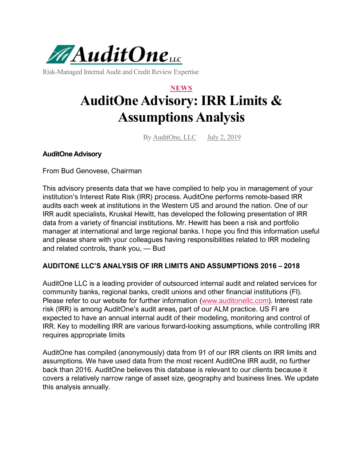

Risk-Managed Internal Audit and Credit Review Expertise

# **NEWS AuditOne Advisory: IRR Limits & Assumptions Analysis**

By AuditOne, LLC July 2, 2019

# **AuditOne Advisory**

From Bud Genovese, Chairman

This advisory presents data that we have complied to help you in management of your institution's Interest Rate Risk (IRR) process. AuditOne performs remote-based IRR audits each week at institutions in the Western US and around the nation. One of our IRR audit specialists, Kruskal Hewitt, has developed the following presentation of IRR data from a variety of financial institutions. Mr. Hewitt has been a risk and portfolio manager at international and large regional banks. I hope you find this information useful and please share with your colleagues having responsibilities related to IRR modeling and related controls, thank you, — Bud

#### **AUDITONE LLC'S ANALYSIS OF IRR LIMITS AND ASSUMPTIONS 2016 – 2018**

AuditOne LLC is a leading provider of outsourced internal audit and related services for community banks, regional banks, credit unions and other financial institutions (FI). Please refer to our website for further information [\(www.auditonellc.com\)](https://auditonellc.com/). Interest rate risk (IRR) is among AuditOne's audit areas, part of our ALM practice. US FI are expected to have an annual internal audit of their modeling, monitoring and control of IRR. Key to modelling IRR are various forward-looking assumptions, while controlling IRR requires appropriate limits

AuditOne has compiled (anonymously) data from 91 of our IRR clients on IRR limits and assumptions. We have used data from the most recent AuditOne IRR audit, no further back than 2016. AuditOne believes this database is relevant to our clients because it covers a relatively narrow range of asset size, geography and business lines. We update this analysis annually.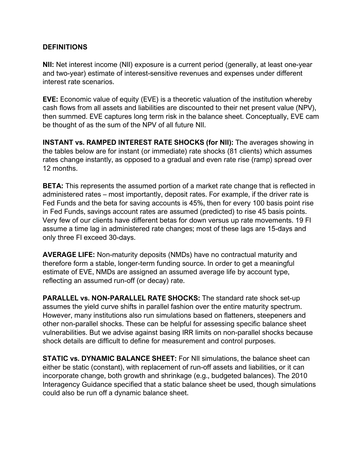# **DEFINITIONS**

**NII:** Net interest income (NII) exposure is a current period (generally, at least one-year and two-year) estimate of interest-sensitive revenues and expenses under different interest rate scenarios.

**EVE:** Economic value of equity (EVE) is a theoretic valuation of the institution whereby cash flows from all assets and liabilities are discounted to their net present value (NPV), then summed. EVE captures long term risk in the balance sheet. Conceptually, EVE cam be thought of as the sum of the NPV of all future NII.

**INSTANT vs. RAMPED INTEREST RATE SHOCKS (for NII):** The averages showing in the tables below are for instant (or immediate) rate shocks (81 clients) which assumes rates change instantly, as opposed to a gradual and even rate rise (ramp) spread over 12 months.

**BETA:** This represents the assumed portion of a market rate change that is reflected in administered rates – most importantly, deposit rates. For example, if the driver rate is Fed Funds and the beta for saving accounts is 45%, then for every 100 basis point rise in Fed Funds, savings account rates are assumed (predicted) to rise 45 basis points. Very few of our clients have different betas for down versus up rate movements. 19 FI assume a time lag in administered rate changes; most of these lags are 15-days and only three FI exceed 30-days.

**AVERAGE LIFE:** Non-maturity deposits (NMDs) have no contractual maturity and therefore form a stable, longer-term funding source. In order to get a meaningful estimate of EVE, NMDs are assigned an assumed average life by account type, reflecting an assumed run-off (or decay) rate.

**PARALLEL vs. NON-PARALLEL RATE SHOCKS:** The standard rate shock set-up assumes the yield curve shifts in parallel fashion over the entire maturity spectrum. However, many institutions also run simulations based on flatteners, steepeners and other non-parallel shocks. These can be helpful for assessing specific balance sheet vulnerabilities. But we advise against basing IRR limits on non-parallel shocks because shock details are difficult to define for measurement and control purposes.

**STATIC vs. DYNAMIC BALANCE SHEET:** For NII simulations, the balance sheet can either be static (constant), with replacement of run-off assets and liabilities, or it can incorporate change, both growth and shrinkage (e.g., budgeted balances). The 2010 Interagency Guidance specified that a static balance sheet be used, though simulations could also be run off a dynamic balance sheet.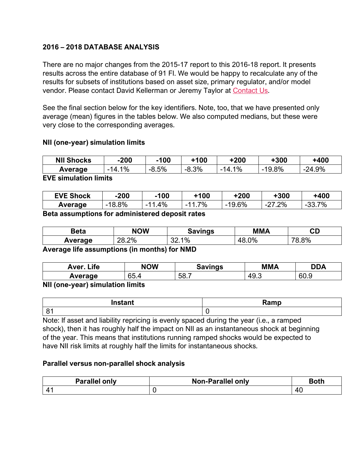# **2016 – 2018 DATABASE ANALYSIS**

There are no major changes from the 2015-17 report to this 2016-18 report. It presents results across the entire database of 91 FI. We would be happy to recalculate any of the results for subsets of institutions based on asset size, primary regulator, and/or model vendor. Please contact David Kellerman or Jeremy Taylor at [Contact Us.](https://auditonellc.com/contact-us)

See the final section below for the key identifiers. Note, too, that we have presented only average (mean) figures in the tables below. We also computed medians, but these were very close to the corresponding averages.

# **NII (one-year) simulation limits**

| <b>NII Shocks</b> | $-200$    | 100     | +100          | -200         | +300  | +400        |
|-------------------|-----------|---------|---------------|--------------|-------|-------------|
| Average           | 1%<br>14. | $-8.5%$ | 3%<br>່ -0.ບຸ | $1\%$<br>14. | 19.8% | 4.9%<br>24. |

#### **EVE simulation limits**

| <b>EVE Shock</b> | $-200$ | $-100$ | +100 | +200  | ⊦300          | +400                                |
|------------------|--------|--------|------|-------|---------------|-------------------------------------|
| Average          | 18.8%  | 4%     | 7%   | 19.6% | $.2\%$<br>-2. | 7%<br>ົ<br>$\overline{\phantom{a}}$ |

**Beta assumptions for administered deposit rates**

| Beta    | <b>NOW</b> | avınas             | MMA | rπ<br>◡⊔ |
|---------|------------|--------------------|-----|----------|
| Average | .2%        | $1\%$<br>oc<br>ັບ∠ | 0%  | 8%<br>70 |

**Average life assumptions (in months) for NMD**

| <b>Life</b><br>Aver. | <b>NOW</b> | Savings | <b>MMA</b>     | <b>DDA</b>            |
|----------------------|------------|---------|----------------|-----------------------|
| Average              | 65.4       | 58.7    | 49<br>r<br>ていし | $\sim$ $\sim$<br>60.9 |

#### **NII (one-year) simulation limits**

| $\mathbf{r}$                     | <b>Domain</b> |
|----------------------------------|---------------|
| mstant                           | .             |
| $\Omega$<br>$\ddot{\phantom{a}}$ |               |

Note: If asset and liability repricing is evenly spaced during the year (i.e., a ramped shock), then it has roughly half the impact on NII as an instantaneous shock at beginning of the year. This means that institutions running ramped shocks would be expected to have NII risk limits at roughly half the limits for instantaneous shocks.

#### **Parallel versus non-parallel shock analysis**

| <b>Parallel only</b> | <b>Non-Parallel only</b> | <b>Both</b> |
|----------------------|--------------------------|-------------|
|                      |                          |             |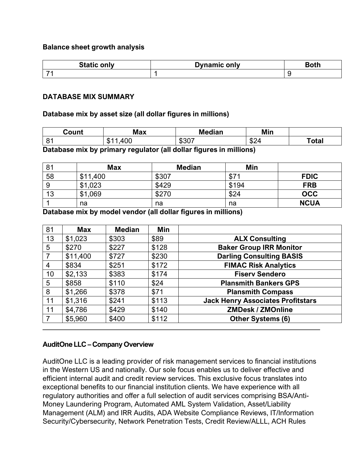#### **Balance sheet growth analysis**

| <b>C</b> <i>L</i> <sub>-4</sub> .<br>วทIv | <b>Authority</b> Connecting Transferred |  |
|-------------------------------------------|-----------------------------------------|--|
| $\overline{\phantom{a}}$                  |                                         |  |

#### **DATABASE MIX SUMMARY**

#### **Database mix by asset size (all dollar figures in millions)**

| Count | <b>Max</b>                                  | <b>Median</b> | Min        |       |
|-------|---------------------------------------------|---------------|------------|-------|
| 81    | $\sim$<br>௱<br>$\mathbf{A}$ '<br>-JD<br>עי. | いへいつ<br>_ ∢ວບ | ሖጣ<br>"⊅∠⊽ | ˈotal |

**Database mix by primary regulator (all dollar figures in millions)**

| 81 | <b>Max</b> | <b>Median</b> | Min   |             |
|----|------------|---------------|-------|-------------|
| 58 | \$11,400   | \$307         | \$7'  | <b>FDIC</b> |
|    | \$1,023    | \$429         | \$194 | <b>FRB</b>  |
| 13 | \$1,069    | \$270         | \$24  | <b>OCC</b>  |
|    | na         | na            | na    | <b>NCUA</b> |

**Database mix by model vendor (all dollar figures in millions)**

| 81 | <b>Max</b> | <b>Median</b> | Min   |                                          |
|----|------------|---------------|-------|------------------------------------------|
| 13 | \$1,023    | \$303         | \$89  | <b>ALX Consulting</b>                    |
| 5  | \$270      | \$227         | \$128 | <b>Baker Group IRR Monitor</b>           |
|    | \$11,400   | \$727         | \$230 | <b>Darling Consulting BASIS</b>          |
| 4  | \$834      | \$251         | \$172 | <b>FIMAC Risk Analytics</b>              |
| 10 | \$2,133    | \$383         | \$174 | <b>Fiserv Sendero</b>                    |
| 5  | \$858      | \$110         | \$24  | <b>Plansmith Bankers GPS</b>             |
| 8  | \$1,266    | \$378         | \$71  | <b>Plansmith Compass</b>                 |
| 11 | \$1,316    | \$241         | \$113 | <b>Jack Henry Associates Profitstars</b> |
| 11 | \$4,786    | \$429         | \$140 | <b>ZMDesk / ZMOnline</b>                 |
|    | \$5,960    | \$400         | \$112 | <b>Other Systems (6)</b>                 |

#### **AuditOne LLC – Company Overview**

AuditOne LLC is a leading provider of risk management services to financial institutions in the Western US and nationally. Our sole focus enables us to deliver effective and efficient internal audit and credit review services. This exclusive focus translates into exceptional benefits to our financial institution clients. We have experience with all regulatory authorities and offer a full selection of audit services comprising BSA/Anti-Money Laundering Program, Automated AML System Validation, Asset/Liability Management (ALM) and IRR Audits, ADA Website Compliance Reviews, IT/Information Security/Cybersecurity, Network Penetration Tests, Credit Review/ALLL, ACH Rules